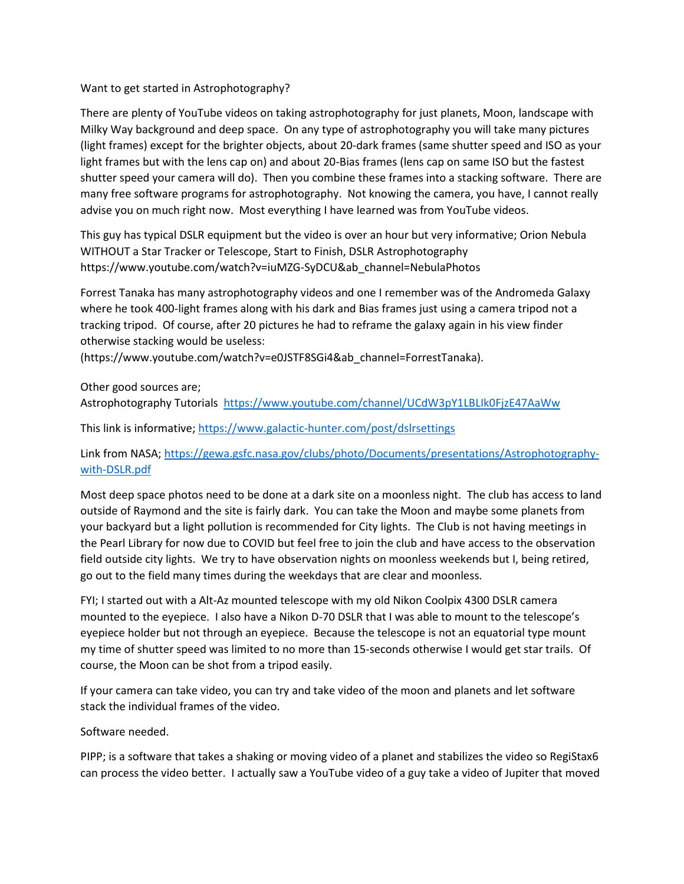## Want to get started in Astrophotography?

There are plenty of YouTube videos on taking astrophotography for just planets, Moon, landscape with Milky Way background and deep space. On any type of astrophotography you will take many pictures (light frames) except for the brighter objects, about 20-dark frames (same shutter speed and ISO as your light frames but with the lens cap on) and about 20-Bias frames (lens cap on same ISO but the fastest shutter speed your camera will do). Then you combine these frames into a stacking software. There are many free software programs for astrophotography. Not knowing the camera, you have, I cannot really advise you on much right now. Most everything I have learned was from YouTube videos.

This guy has typical DSLR equipment but the video is over an hour but very informative; Orion Nebula WITHOUT a Star Tracker or Telescope, Start to Finish, DSLR Astrophotography https://www.youtube.com/watch?v=iuMZG-SyDCU&ab\_channel=NebulaPhotos

Forrest Tanaka has many astrophotography videos and one I remember was of the Andromeda Galaxy where he took 400-light frames along with his dark and Bias frames just using a camera tripod not a tracking tripod. Of course, after 20 pictures he had to reframe the galaxy again in his view finder otherwise stacking would be useless:

(https://www.youtube.com/watch?v=e0JSTF8SGi4&ab\_channel=ForrestTanaka).

Other good sources are;

Astrophotography Tutorials https://www.youtube.com/channel/UCdW3pY1LBLIk0FjzE47AaWw

This link is informative; https://www.galactic-hunter.com/post/dslrsettings

Link from NASA; https://gewa.gsfc.nasa.gov/clubs/photo/Documents/presentations/Astrophotographywith-DSLR.pdf

Most deep space photos need to be done at a dark site on a moonless night. The club has access to land outside of Raymond and the site is fairly dark. You can take the Moon and maybe some planets from your backyard but a light pollution is recommended for City lights. The Club is not having meetings in the Pearl Library for now due to COVID but feel free to join the club and have access to the observation field outside city lights. We try to have observation nights on moonless weekends but I, being retired, go out to the field many times during the weekdays that are clear and moonless.

FYI; I started out with a Alt-Az mounted telescope with my old Nikon Coolpix 4300 DSLR camera mounted to the eyepiece. I also have a Nikon D-70 DSLR that I was able to mount to the telescope's eyepiece holder but not through an eyepiece. Because the telescope is not an equatorial type mount my time of shutter speed was limited to no more than 15-seconds otherwise I would get star trails. Of course, the Moon can be shot from a tripod easily.

If your camera can take video, you can try and take video of the moon and planets and let software stack the individual frames of the video.

## Software needed.

PIPP; is a software that takes a shaking or moving video of a planet and stabilizes the video so RegiStax6 can process the video better. I actually saw a YouTube video of a guy take a video of Jupiter that moved